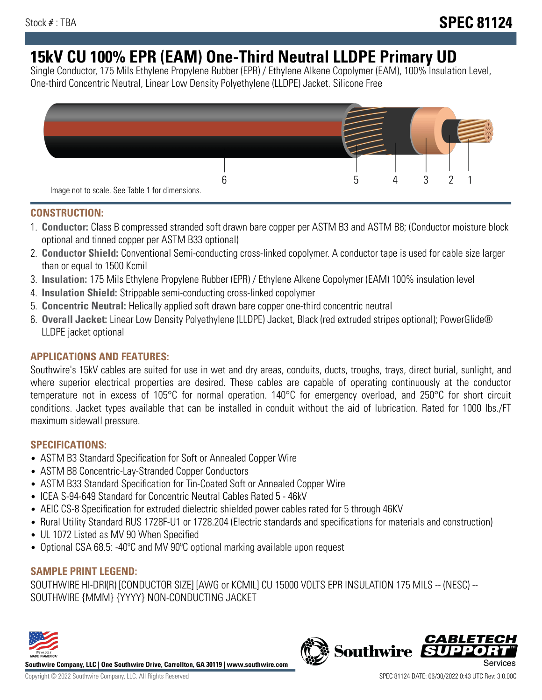# **15kV CU 100% EPR (EAM) One-Third Neutral LLDPE Primary UD**

Single Conductor, 175 Mils Ethylene Propylene Rubber (EPR) / Ethylene Alkene Copolymer (EAM), 100% Insulation Level, One-third Concentric Neutral, Linear Low Density Polyethylene (LLDPE) Jacket. Silicone Free



### **CONSTRUCTION:**

- 1. **Conductor:** Class B compressed stranded soft drawn bare copper per ASTM B3 and ASTM B8; (Conductor moisture block optional and tinned copper per ASTM B33 optional)
- 2. **Conductor Shield:** Conventional Semi-conducting cross-linked copolymer. A conductor tape is used for cable size larger than or equal to 1500 Kcmil
- 3. **Insulation:** 175 Mils Ethylene Propylene Rubber (EPR) / Ethylene Alkene Copolymer (EAM) 100% insulation level
- 4. **Insulation Shield:** Strippable semi-conducting cross-linked copolymer
- 5. **Concentric Neutral:** Helically applied soft drawn bare copper one-third concentric neutral
- 6. **Overall Jacket:** Linear Low Density Polyethylene (LLDPE) Jacket, Black (red extruded stripes optional); PowerGlide® LLDPE jacket optional

### **APPLICATIONS AND FEATURES:**

Southwire's 15kV cables are suited for use in wet and dry areas, conduits, ducts, troughs, trays, direct burial, sunlight, and where superior electrical properties are desired. These cables are capable of operating continuously at the conductor temperature not in excess of 105°C for normal operation. 140°C for emergency overload, and 250°C for short circuit conditions. Jacket types available that can be installed in conduit without the aid of lubrication. Rated for 1000 lbs./FT maximum sidewall pressure.

### **SPECIFICATIONS:**

- ASTM B3 Standard Specification for Soft or Annealed Copper Wire
- ASTM B8 Concentric-Lay-Stranded Copper Conductors
- ASTM B33 Standard Specification for Tin-Coated Soft or Annealed Copper Wire
- ICEA S-94-649 Standard for Concentric Neutral Cables Rated 5 46kV
- AEIC CS-8 Specification for extruded dielectric shielded power cables rated for 5 through 46KV
- Rural Utility Standard RUS 1728F-U1 or 1728.204 (Electric standards and specifications for materials and construction)
- UL 1072 Listed as MV 90 When Specified
- Optional CSA 68.5: -40°C and MV 90°C optional marking available upon request

## **SAMPLE PRINT LEGEND:**

SOUTHWIRE HI-DRI(R) [CONDUCTOR SIZE] [AWG or KCMIL] CU 15000 VOLTS EPR INSULATION 175 MILS -- (NESC) -- SOUTHWIRE {MMM} {YYYY} NON-CONDUCTING JACKET



**Southwire Company, LLC | One Southwire Drive, Carrollton, GA 30119 | www.southwire.com**